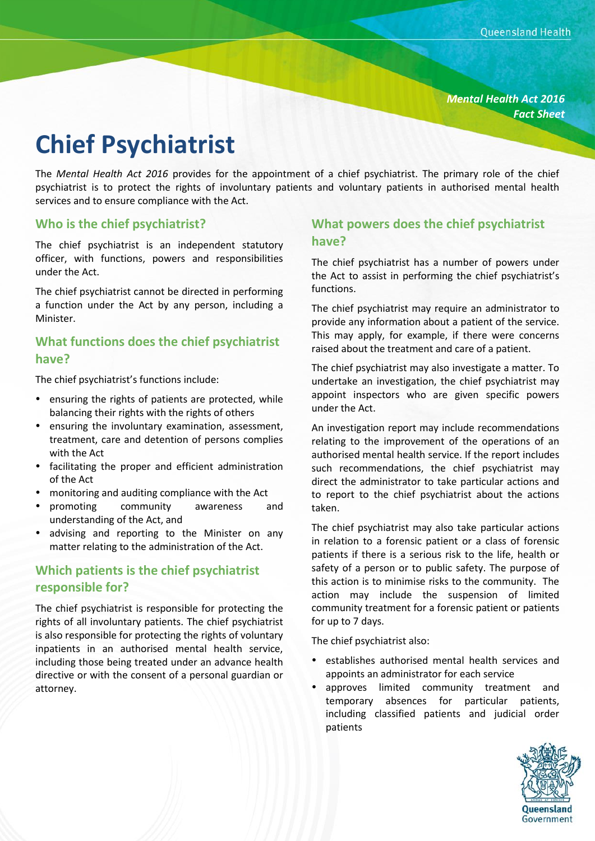*Mental Health Act 2016 Fact Sheet*

# **Chief Psychiatrist**

The *Mental Health Act 2016* provides for the appointment of a chief psychiatrist. The primary role of the chief psychiatrist is to protect the rights of involuntary patients and voluntary patients in authorised mental health services and to ensure compliance with the Act.

#### **Who is the chief psychiatrist?**

The chief psychiatrist is an independent statutory officer, with functions, powers and responsibilities under the Act.

The chief psychiatrist cannot be directed in performing a function under the Act by any person, including a Minister.

## **What functions does the chief psychiatrist have?**

The chief psychiatrist's functions include:

- ensuring the rights of patients are protected, while balancing their rights with the rights of others
- ensuring the involuntary examination, assessment, treatment, care and detention of persons complies with the Act
- facilitating the proper and efficient administration of the Act
- monitoring and auditing compliance with the Act
- promoting community awareness and understanding of the Act, and
- advising and reporting to the Minister on any matter relating to the administration of the Act.

# **Which patients is the chief psychiatrist responsible for?**

The chief psychiatrist is responsible for protecting the rights of all involuntary patients. The chief psychiatrist is also responsible for protecting the rights of voluntary inpatients in an authorised mental health service, including those being treated under an advance health directive or with the consent of a personal guardian or attorney.

### **What powers does the chief psychiatrist have?**

The chief psychiatrist has a number of powers under the Act to assist in performing the chief psychiatrist's functions.

The chief psychiatrist may require an administrator to provide any information about a patient of the service. This may apply, for example, if there were concerns raised about the treatment and care of a patient.

The chief psychiatrist may also investigate a matter. To undertake an investigation, the chief psychiatrist may appoint inspectors who are given specific powers under the Act.

An investigation report may include recommendations relating to the improvement of the operations of an authorised mental health service. If the report includes such recommendations, the chief psychiatrist may direct the administrator to take particular actions and to report to the chief psychiatrist about the actions taken.

The chief psychiatrist may also take particular actions in relation to a forensic patient or a class of forensic patients if there is a serious risk to the life, health or safety of a person or to public safety. The purpose of this action is to minimise risks to the community. The action may include the suspension of limited community treatment for a forensic patient or patients for up to 7 days.

The chief psychiatrist also:

- establishes authorised mental health services and appoints an administrator for each service
- approves limited community treatment and temporary absences for particular patients, including classified patients and judicial order patients